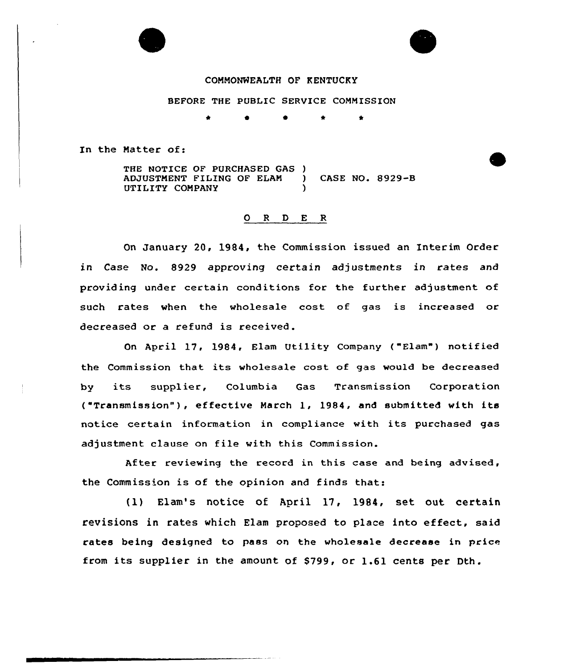## COMMONHEALTH OF KENTUCKY

BEFORE THE PUBLIC SERVICE COMMISSION

**a a a a** 

In the Matter of:

THE NOTICE OF PURCHASED GAS )<br>ADJUSTMENT FILING OF ELAM ADJUSTMENT FILING OF ELAM ) CASE NO. 8929-8 UTILITY COMPANY

## 0 <sup>R</sup> <sup>D</sup> E <sup>R</sup>

On January 20, 1984, the Commission issued an Interim Order in Case No. 8929 approving certain adjustments in rates and providing under certain conditions for the further adjustment of such rates when the wholesale cost of gas is increased or decreased or a refund is received.

On April 17, 1984, Elam Utility Company ("Elam") notified the Commission that its wholesale cost of gas would be decreased by its supplier, Columbia Gas Transmission Corporatio ("Transmission" ), effective March 1, 1984, and submitted with its notice certain information in compliance with its purchased gas adjustment clause on file with this Commission.

After reviewing the record in this case and being advised, the Commission is of the opinion and finds that:

{1) Elam's notice of April 17, 1984, set out certain revisions in rates which Elam proposed to place into effect, said rates being designed to pass on the wholesale decrease in price from its supplier in the amount of 8799, or 1.61 cents per Dth.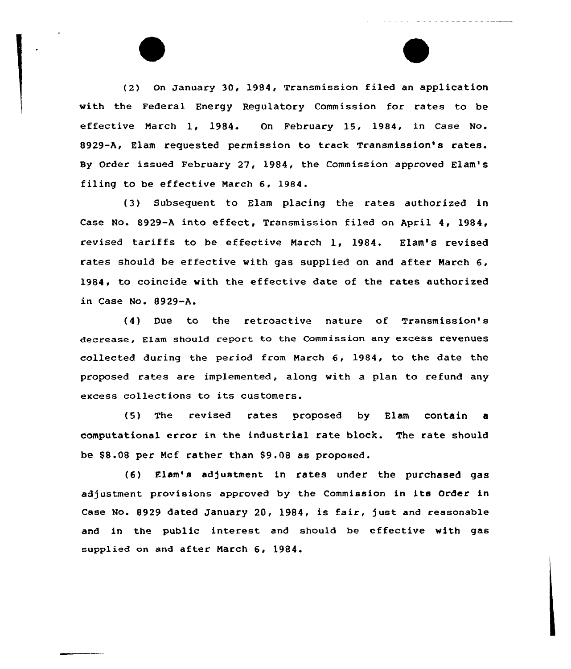(2) On January 30, 1984, Transmission filed an application with the Federal Energy Regulatory Commission for rates to be effective March 1, 1984. On February 15, 1984, in Case No. 8929-A, Elam requested permission to track Transmission's rates. By Order issued February 27, 1984, the Commission approved Elam' filing to be effective Narch 6, 1984.

(3) Subsequent to Elam placing the rates authorized in Case No. 8929-A into effect, Transmission filed on April 4, 1984, revised tariffs to be effective Narch 1, 1984. Elam's revised rates should be effective with gas supplied on and after March 6, 1984, to coincide with the effective date of the rates authorized in Case No. 8929-A.

(4) Due to the retroactive nature of Transmission's decrease, Elam should report to the Commission any excess revenues collected during the period from Narch 6, 1984, to the date the proposed rates are implemented, along with a plan to refund any excess collections to its customers.

(5) The revised rates proposed by Elam contain a computational error in the industrial rate block. The rate should be \$8.08 per Ncf rather than 89.08 as proposed.

(6) Elam's adjustment in rates under the purchased gas adjustment provisions approved by the Commission in its Order in Case No. 8929 dated January 20, 1984, is fair, just and reasonable and in the public interest and should be effective with gas supplied on and after Narch 6, 1984.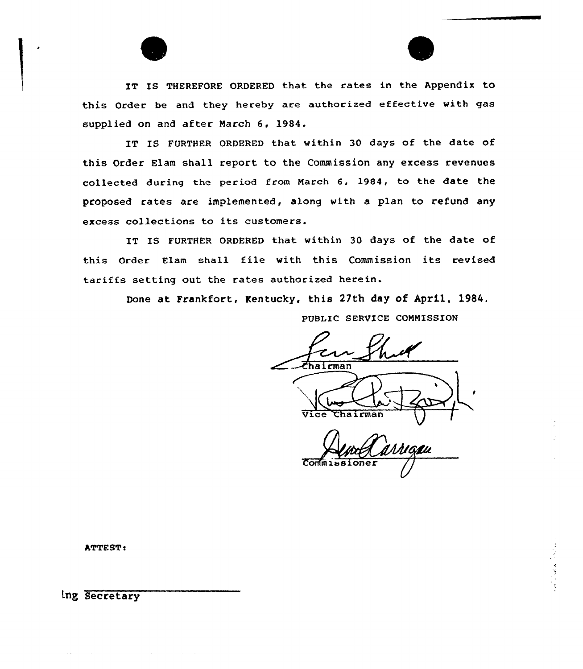IT IS THEREFORE ORDERED that the rates in the Appendix to this Order be and they hereby are authorized effective with gas supplied on and after March 6, 1984.

IT IS FURTHER ORDERED that within 30 days of the date of this Order Elam shall report to the Commission any excess revenues collected during the period from March &, 1984, to the date the proposed rates are implemented, along with a plan to refund any excess collections to its customers.

IT IS FURTHER ORDERED that within 30 days of the date of this order Elam shall file with this Commission its revised tariffs setting out the rates authorized herein.

Done at Frankfort, Kentucky, this 27th day of April, l984.

PUBLIC SERVICE CONMISSION

Chairman t )<br>/<br>/ Vice Chairman I  $Comm is is 1 one$ 

ATTEST:

Lng Secretary